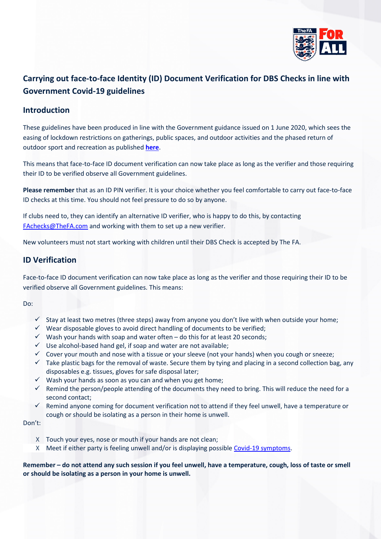

# **Carrying out face-to-face Identity (ID) Document Verification for DBS Checks in line with Government Covid-19 guidelines**

# **Introduction**

These guidelines have been produced in line with the Government guidance issued on 1 June 2020, which sees the easing of lockdown restrictions on gatherings, public spaces, and outdoor activities and the phased return of outdoor sport and recreation as published **[here](https://www.gov.uk/government/publications/coronavirus-covid-19-guidance-on-phased-return-of-sport-and-recreation/guidance-for-the-public-on-the-phased-return-of-outdoor-sport-and-recreation.)**.

This means that face-to-face ID document verification can now take place as long as the verifier and those requiring their ID to be verified observe all Government guidelines.

**Please remember** that as an ID PIN verifier. It is your choice whether you feel comfortable to carry out face-to-face ID checks at this time. You should not feel pressure to do so by anyone.

If clubs need to, they can identify an alternative ID verifier, who is happy to do this, by contacting [FAchecks@TheFA.com](mailto:FAchecks@TheFA.com) and working with them to set up a new verifier.

New volunteers must not start working with children until their DBS Check is accepted by The FA.

# **ID Verification**

Face-to-face ID document verification can now take place as long as the verifier and those requiring their ID to be verified observe all Government guidelines. This means:

#### Do:

- $\checkmark$  Stay at least two metres (three steps) away from anyone you don't live with when outside your home;
- $\checkmark$  Wear disposable gloves to avoid direct handling of documents to be verified;
- $\checkmark$  Wash your hands with soap and water often do this for at least 20 seconds;
- $\checkmark$  Use alcohol-based hand gel, if soap and water are not available;
- $\checkmark$  Cover your mouth and nose with a tissue or your sleeve (not your hands) when you cough or sneeze;
- $\checkmark$  Take plastic bags for the removal of waste. Secure them by tying and placing in a second collection bag, any disposables e.g. tissues, gloves for safe disposal later;
- $\checkmark$  Wash your hands as soon as you can and when you get home;
- $\checkmark$  Remind the person/people attending of the documents they need to bring. This will reduce the need for a second contact;
- $\checkmark$  Remind anyone coming for document verification not to attend if they feel unwell, have a temperature or cough or should be isolating as a person in their home is unwell.

Don't:

- X Touch your eyes, nose or mouth if your hands are not clean;
- X Meet if either party is feeling unwell and/or is displaying possible [Covid-19 symptoms.](https://www.nhs.uk/conditions/coronavirus-covid-19/symptoms/)

**Remember – do not attend any such session if you feel unwell, have a temperature, cough, loss of taste or smell or should be isolating as a person in your home is unwell.**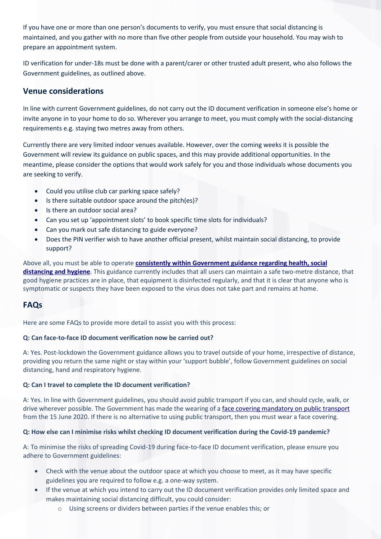If you have one or more than one person's documents to verify, you must ensure that social distancing is maintained, and you gather with no more than five other people from outside your household. You may wish to prepare an appointment system.

ID verification for under-18s must be done with a parent/carer or other trusted adult present, who also follows the Government guidelines, as outlined above.

# **Venue considerations**

In line with current Government guidelines, do not carry out the ID document verification in someone else's home or invite anyone in to your home to do so. Wherever you arrange to meet, you must comply with the social-distancing requirements e.g. staying two metres away from others.

Currently there are very limited indoor venues available. However, over the coming weeks it is possible the Government will review its guidance on public spaces, and this may provide additional opportunities. In the meantime, please consider the options that would work safely for you and those individuals whose documents you are seeking to verify.

- Could you utilise club car parking space safely?
- Is there suitable outdoor space around the pitch(es)?
- Is there an outdoor social area?
- Can you set up 'appointment slots' to book specific time slots for individuals?
- Can you mark out safe distancing to guide everyone?
- Does the PIN verifier wish to have another official present, whilst maintain social distancing, to provide support?

Above all, you must be able to operate **consistently within [Government guidance regarding health, social](https://www.gov.uk/government/publications/staying-safe-outside-your-home/staying-safe-outside-your-home)  [distancing and hygiene](https://www.gov.uk/government/publications/staying-safe-outside-your-home/staying-safe-outside-your-home)**. This guidance currently includes that all users can maintain a safe two-metre distance, that good hygiene practices are in place, that equipment is disinfected regularly, and that it is clear that anyone who is symptomatic or suspects they have been exposed to the virus does not take part and remains at home.

# **FAQs**

Here are some FAQs to provide more detail to assist you with this process:

## **Q: Can face-to-face ID document verification now be carried out?**

A: Yes. Post-lockdown the Government guidance allows you to travel outside of your home, irrespective of distance, providing you return the same night or stay within your 'support bubble', follow Government guidelines on social distancing, hand and respiratory hygiene.

#### **Q: Can I travel to complete the ID document verification?**

A: Yes. In line with Government guidelines, you should avoid public transport if you can, and should cycle, walk, or drive wherever possible. The Government has made the wearing of a [face covering mandatory on public transport](https://www.gov.uk/government/news/face-coverings-to-become-mandatory-on-public-transport) from the 15 June 2020. If there is no alternative to using public transport, then you must wear a face covering.

## **Q: How else can I minimise risks whilst checking ID document verification during the Covid-19 pandemic?**

A: To minimise the risks of spreading Covid-19 during face-to-face ID document verification, please ensure you adhere to Government guidelines:

- Check with the venue about the outdoor space at which you choose to meet, as it may have specific guidelines you are required to follow e.g. a one-way system.
- If the venue at which you intend to carry out the ID document verification provides only limited space and makes maintaining social distancing difficult, you could consider:
	- o Using screens or dividers between parties if the venue enables this; or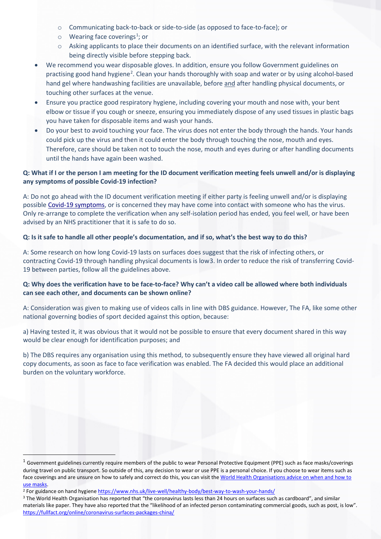- o Communicating back-to-back or side-to-side (as opposed to face-to-face); or
- $\circ$  Wearing face coverings<sup>[1](#page-2-0)</sup>; or
- $\circ$  Asking applicants to place their documents on an identified surface, with the relevant information being directly visible before stepping back.
- We recommend you wear disposable gloves. In addition, ensure you follow Government guidelines on practising good hand hygiene<sup>[2](#page-2-1)</sup>. Clean your hands thoroughly with soap and water or by using alcohol-based hand gel where handwashing facilities are unavailable, before and after handling physical documents, or touching other surfaces at the venue.
- Ensure you practice good respiratory hygiene, including covering your mouth and nose with, your bent elbow or tissue if you cough or sneeze, ensuring you immediately dispose of any used tissues in plastic bags you have taken for disposable items and wash your hands.
- Do your best to avoid touching your face. The virus does not enter the body through the hands. Your hands could pick up the virus and then it could enter the body through touching the nose, mouth and eyes. Therefore, care should be taken not to touch the nose, mouth and eyes during or after handling documents until the hands have again been washed.

# **Q: What if I or the person I am meeting for the ID document verification meeting feels unwell and/or is displaying any symptoms of possible Covid-19 infection?**

A: Do not go ahead with the ID document verification meeting if either party is feeling unwell and/or is displaying possible [Covid-19 symptoms,](https://www.nhs.uk/conditions/coronavirus-covid-19/symptoms/) or is concerned they may have come into contact with someone who has the virus. Only re-arrange to complete the verification when any self-isolation period has ended, you feel well, or have been advised by an NHS practitioner that it is safe to do so.

## **Q: Is it safe to handle all other people's documentation, and if so, what's the best way to do this?**

A: Some research on how long Covid-19 lasts on surfaces does suggest that the risk of infecting others, or contracting Covid-19 through handling physical documents is lo[w3](#page-2-2). In order to reduce the risk of transferring Covid-19 between parties, follow all the guidelines above.

## **Q: Why does the verification have to be face-to-face? Why can't a video call be allowed where both individuals can see each other, and documents can be shown online?**

A: Consideration was given to making use of videos calls in line with DBS guidance. However, The FA, like some other national governing bodies of sport decided against this option, because:

a) Having tested it, it was obvious that it would not be possible to ensure that every document shared in this way would be clear enough for identification purposes; and

b) The DBS requires any organisation using this method, to subsequently ensure they have viewed all original hard copy documents, as soon as face to face verification was enabled. The FA decided this would place an additional burden on the voluntary workforce.

<span id="page-2-0"></span> $1$  Government guidelines currently require members of the public to wear Personal Protective Equipment (PPE) such as face masks/coverings during travel on public transport. So outside of this, any decision to wear or use PPE is a personal choice. If you choose to wear items such as face coverings and are unsure on how to safely and correct do this, you can visit the World Health Organisations advice on when and how to

<span id="page-2-1"></span>use masks.<br><sup>2</sup> For guidance on hand hygien[e https://www.nhs.uk/live-well/healthy-body/best-way-to-wash-your-hands/](https://www.nhs.uk/live-well/healthy-body/best-way-to-wash-your-hands/)

<span id="page-2-2"></span><sup>&</sup>lt;sup>3</sup> The World Health Organisation has reported that "the coronavirus lasts less than 24 hours on surfaces such as cardboard", and similar materials like paper. They have also reported that the "likelihood of an infected person contaminating commercial goods, such as post, is low". <https://fullfact.org/online/coronavirus-surfaces-packages-china/>